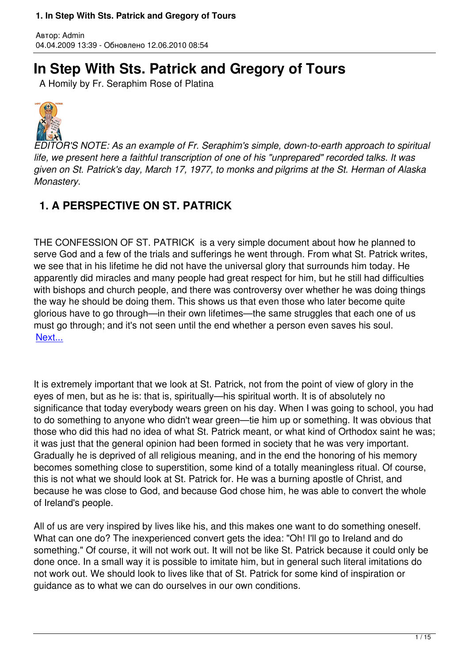A Homily by Fr. Seraphim Rose of Platina



Автор: Admin

*EDITOR'S NOTE: As an example of Fr. Seraphim's simple, down-to-earth approach to spiritual life, we present here a faithful transcription of one of his "unprepared" recorded talks. It was given on St. Patrick's day, March 17, 1977, to monks and pilgrims at the St. Herman of Alaska Monastery.*

### **1. A PERSPECTIVE ON ST. PATRICK**

THE CONFESSION OF ST. PATRICK is a very simple document about how he planned to serve God and a few of the trials and sufferings he went through. From what St. Patrick writes, we see that in his lifetime he did not have the universal glory that surrounds him today. He apparently did miracles and many people had great respect for him, but he still had difficulties with bishops and church people, and there was controversy over whether he was doing things the way he should be doing them. This shows us that even those who later become quite glorious have to go through—in their own lifetimes—the same struggles that each one of us must go through; and it's not seen until the end whether a person even saves his soul. Next...

[It is ext](index.php?option=com_content&task=view&id=459&Itemid=40)remely important that we look at St. Patrick, not from the point of view of glory in the eyes of men, but as he is: that is, spiritually—his spiritual worth. It is of absolutely no significance that today everybody wears green on his day. When I was going to school, you had to do something to anyone who didn't wear green—tie him up or something. It was obvious that those who did this had no idea of what St. Patrick meant, or what kind of Orthodox saint he was; it was just that the general opinion had been formed in society that he was very important. Gradually he is deprived of all religious meaning, and in the end the honoring of his memory becomes something close to superstition, some kind of a totally meaningless ritual. Of course, this is not what we should look at St. Patrick for. He was a burning apostle of Christ, and because he was close to God, and because God chose him, he was able to convert the whole of Ireland's people.

All of us are very inspired by lives like his, and this makes one want to do something oneself. What can one do? The inexperienced convert gets the idea: "Oh! I'll go to Ireland and do something." Of course, it will not work out. It will not be like St. Patrick because it could only be done once. In a small way it is possible to imitate him, but in general such literal imitations do not work out. We should look to lives like that of St. Patrick for some kind of inspiration or guidance as to what we can do ourselves in our own conditions.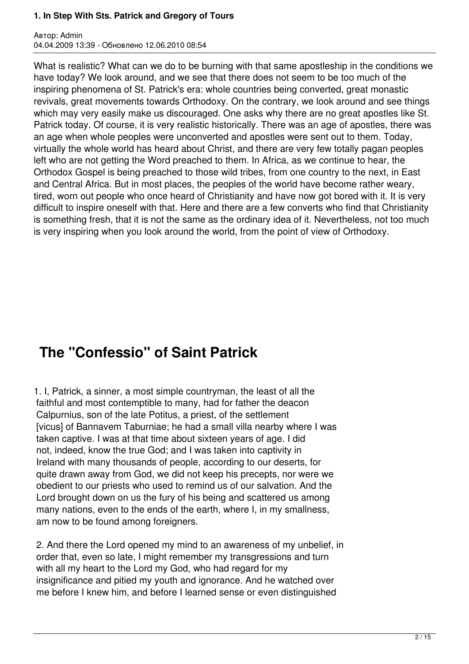Автор: Admin 04.04.2009 13:39 - Обновлено 12.06.2010 08:54

What is realistic? What can we do to be burning with that same apostleship in the conditions we have today? We look around, and we see that there does not seem to be too much of the inspiring phenomena of St. Patrick's era: whole countries being converted, great monastic revivals, great movements towards Orthodoxy. On the contrary, we look around and see things which may very easily make us discouraged. One asks why there are no great apostles like St. Patrick today. Of course, it is very realistic historically. There was an age of apostles, there was an age when whole peoples were unconverted and apostles were sent out to them. Today, virtually the whole world has heard about Christ, and there are very few totally pagan peoples left who are not getting the Word preached to them. In Africa, as we continue to hear, the Orthodox Gospel is being preached to those wild tribes, from one country to the next, in East and Central Africa. But in most places, the peoples of the world have become rather weary, tired, worn out people who once heard of Christianity and have now got bored with it. It is very difficult to inspire oneself with that. Here and there are a few converts who find that Christianity is something fresh, that it is not the same as the ordinary idea of it. Nevertheless, not too much is very inspiring when you look around the world, from the point of view of Orthodoxy.

## **The "Confessio" of Saint Patrick**

1. I, Patrick, a sinner, a most simple countryman, the least of all the faithful and most contemptible to many, had for father the deacon Calpurnius, son of the late Potitus, a priest, of the settlement [vicus] of Bannavem Taburniae; he had a small villa nearby where I was taken captive. I was at that time about sixteen years of age. I did not, indeed, know the true God; and I was taken into captivity in Ireland with many thousands of people, according to our deserts, for quite drawn away from God, we did not keep his precepts, nor were we obedient to our priests who used to remind us of our salvation. And the Lord brought down on us the fury of his being and scattered us among many nations, even to the ends of the earth, where I, in my smallness, am now to be found among foreigners.

 2. And there the Lord opened my mind to an awareness of my unbelief, in order that, even so late. I might remember my transgressions and turn with all my heart to the Lord my God, who had regard for my insignificance and pitied my youth and ignorance. And he watched over me before I knew him, and before I learned sense or even distinguished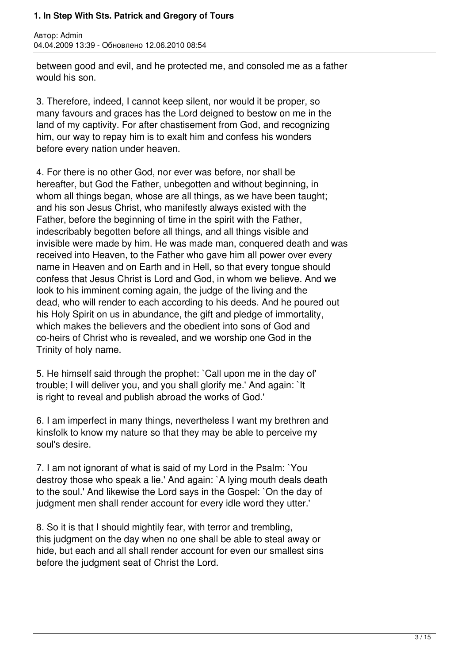Автор: Admin 04.04.2009 13:39 - Обновлено 12.06.2010 08:54

 between good and evil, and he protected me, and consoled me as a father would his son.

 3. Therefore, indeed, I cannot keep silent, nor would it be proper, so many favours and graces has the Lord deigned to bestow on me in the land of my captivity. For after chastisement from God, and recognizing him, our way to repay him is to exalt him and confess his wonders before every nation under heaven.

 4. For there is no other God, nor ever was before, nor shall be hereafter, but God the Father, unbegotten and without beginning, in whom all things began, whose are all things, as we have been taught; and his son Jesus Christ, who manifestly always existed with the Father, before the beginning of time in the spirit with the Father, indescribably begotten before all things, and all things visible and invisible were made by him. He was made man, conquered death and was received into Heaven, to the Father who gave him all power over every name in Heaven and on Earth and in Hell, so that every tongue should confess that Jesus Christ is Lord and God, in whom we believe. And we look to his imminent coming again, the judge of the living and the dead, who will render to each according to his deeds. And he poured out his Holy Spirit on us in abundance, the gift and pledge of immortality, which makes the believers and the obedient into sons of God and co-heirs of Christ who is revealed, and we worship one God in the Trinity of holy name.

 5. He himself said through the prophet: `Call upon me in the day of' trouble; I will deliver you, and you shall glorify me.' And again: `It is right to reveal and publish abroad the works of God.'

 6. I am imperfect in many things, nevertheless I want my brethren and kinsfolk to know my nature so that they may be able to perceive my soul's desire.

 7. I am not ignorant of what is said of my Lord in the Psalm: `You destroy those who speak a lie.' And again: `A lying mouth deals death to the soul.' And likewise the Lord says in the Gospel: `On the day of judgment men shall render account for every idle word they utter.'

 8. So it is that I should mightily fear, with terror and trembling, this judgment on the day when no one shall be able to steal away or hide, but each and all shall render account for even our smallest sins before the judgment seat of Christ the Lord.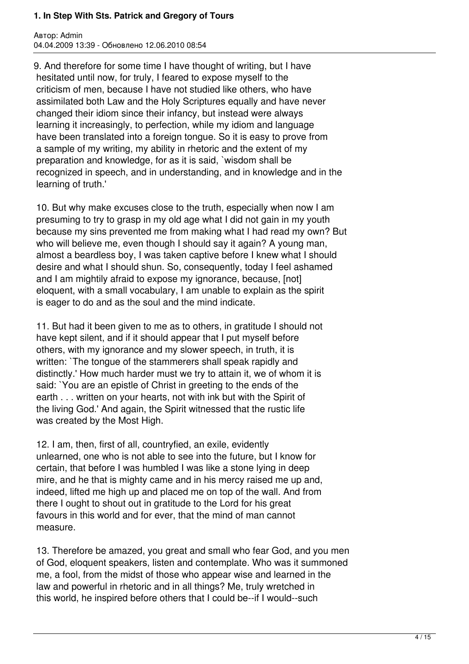Автор: Admin 04.04.2009 13:39 - Обновлено 12.06.2010 08:54

9. And therefore for some time I have thought of writing, but I have hesitated until now, for truly, I feared to expose myself to the criticism of men, because I have not studied like others, who have assimilated both Law and the Holy Scriptures equally and have never changed their idiom since their infancy, but instead were always learning it increasingly, to perfection, while my idiom and language have been translated into a foreign tongue. So it is easy to prove from a sample of my writing, my ability in rhetoric and the extent of my preparation and knowledge, for as it is said, `wisdom shall be recognized in speech, and in understanding, and in knowledge and in the learning of truth.'

 10. But why make excuses close to the truth, especially when now I am presuming to try to grasp in my old age what I did not gain in my youth because my sins prevented me from making what I had read my own? But who will believe me, even though I should say it again? A young man, almost a beardless boy, I was taken captive before I knew what I should desire and what I should shun. So, consequently, today I feel ashamed and I am mightily afraid to expose my ignorance, because, [not] eloquent, with a small vocabulary, I am unable to explain as the spirit is eager to do and as the soul and the mind indicate.

 11. But had it been given to me as to others, in gratitude I should not have kept silent, and if it should appear that I put myself before others, with my ignorance and my slower speech, in truth, it is written: `The tongue of the stammerers shall speak rapidly and distinctly.' How much harder must we try to attain it, we of whom it is said: `You are an epistle of Christ in greeting to the ends of the earth . . . written on your hearts, not with ink but with the Spirit of the living God.' And again, the Spirit witnessed that the rustic life was created by the Most High.

 12. I am, then, first of all, countryfied, an exile, evidently unlearned, one who is not able to see into the future, but I know for certain, that before I was humbled I was like a stone lying in deep mire, and he that is mighty came and in his mercy raised me up and, indeed, lifted me high up and placed me on top of the wall. And from there I ought to shout out in gratitude to the Lord for his great favours in this world and for ever, that the mind of man cannot measure.

 13. Therefore be amazed, you great and small who fear God, and you men of God, eloquent speakers, listen and contemplate. Who was it summoned me, a fool, from the midst of those who appear wise and learned in the law and powerful in rhetoric and in all things? Me, truly wretched in this world, he inspired before others that I could be--if I would--such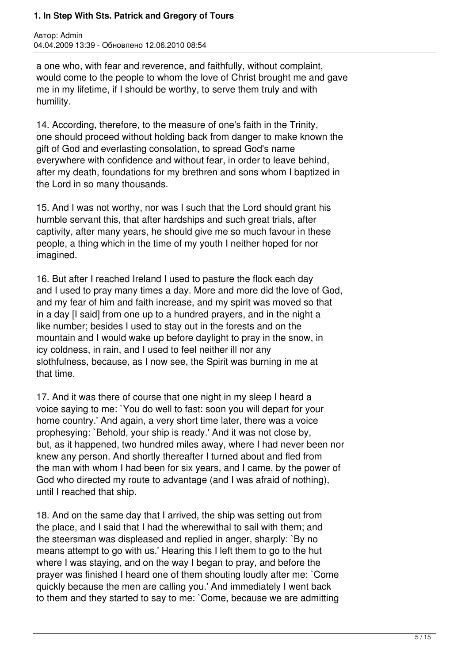Автор: Admin 04.04.2009 13:39 - Обновлено 12.06.2010 08:54

 a one who, with fear and reverence, and faithfully, without complaint, would come to the people to whom the love of Christ brought me and gave me in my lifetime, if I should be worthy, to serve them truly and with humility.

 14. According, therefore, to the measure of one's faith in the Trinity, one should proceed without holding back from danger to make known the gift of God and everlasting consolation, to spread God's name everywhere with confidence and without fear, in order to leave behind, after my death, foundations for my brethren and sons whom I baptized in the Lord in so many thousands.

 15. And I was not worthy, nor was I such that the Lord should grant his humble servant this, that after hardships and such great trials, after captivity, after many years, he should give me so much favour in these people, a thing which in the time of my youth I neither hoped for nor imagined.

16. But after I reached Ireland I used to pasture the flock each day and I used to pray many times a day. More and more did the love of God, and my fear of him and faith increase, and my spirit was moved so that in a day [I said] from one up to a hundred prayers, and in the night a like number; besides I used to stay out in the forests and on the mountain and I would wake up before daylight to pray in the snow, in icy coldness, in rain, and I used to feel neither ill nor any slothfulness, because, as I now see, the Spirit was burning in me at that time.

 17. And it was there of course that one night in my sleep I heard a voice saying to me: `You do well to fast: soon you will depart for your home country.' And again, a very short time later, there was a voice prophesying: `Behold, your ship is ready.' And it was not close by, but, as it happened, two hundred miles away, where I had never been nor knew any person. And shortly thereafter I turned about and fled from the man with whom I had been for six years, and I came, by the power of God who directed my route to advantage (and I was afraid of nothing), until I reached that ship.

 18. And on the same day that I arrived, the ship was setting out from the place, and I said that I had the wherewithal to sail with them; and the steersman was displeased and replied in anger, sharply: `By no means attempt to go with us.' Hearing this I left them to go to the hut where I was staying, and on the way I began to pray, and before the prayer was finished I heard one of them shouting loudly after me: `Come quickly because the men are calling you.' And immediately I went back to them and they started to say to me: `Come, because we are admitting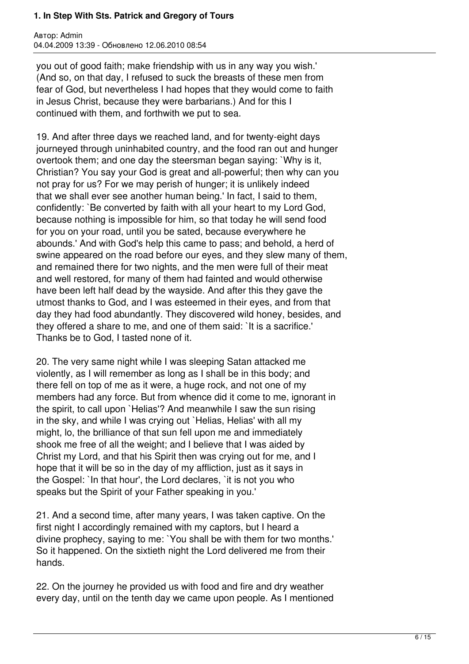Автор: Admin 04.04.2009 13:39 - Обновлено 12.06.2010 08:54

 you out of good faith; make friendship with us in any way you wish.' (And so, on that day, I refused to suck the breasts of these men from fear of God, but nevertheless I had hopes that they would come to faith in Jesus Christ, because they were barbarians.) And for this I continued with them, and forthwith we put to sea.

 19. And after three days we reached land, and for twenty-eight days journeyed through uninhabited country, and the food ran out and hunger overtook them; and one day the steersman began saying: `Why is it, Christian? You say your God is great and all-powerful; then why can you not pray for us? For we may perish of hunger; it is unlikely indeed that we shall ever see another human being.' In fact, I said to them, confidently: `Be converted by faith with all your heart to my Lord God, because nothing is impossible for him, so that today he will send food for you on your road, until you be sated, because everywhere he abounds.' And with God's help this came to pass; and behold, a herd of swine appeared on the road before our eyes, and they slew many of them, and remained there for two nights, and the men were full of their meat and well restored, for many of them had fainted and would otherwise have been left half dead by the wayside. And after this they gave the utmost thanks to God, and I was esteemed in their eyes, and from that day they had food abundantly. They discovered wild honey, besides, and they offered a share to me, and one of them said: `It is a sacrifice.' Thanks be to God, I tasted none of it.

 20. The very same night while I was sleeping Satan attacked me violently, as I will remember as long as I shall be in this body; and there fell on top of me as it were, a huge rock, and not one of my members had any force. But from whence did it come to me, ignorant in the spirit, to call upon `Helias'? And meanwhile I saw the sun rising in the sky, and while I was crying out `Helias, Helias' with all my might, lo, the brilliance of that sun fell upon me and immediately shook me free of all the weight; and I believe that I was aided by Christ my Lord, and that his Spirit then was crying out for me, and I hope that it will be so in the day of my affliction, just as it says in the Gospel: `In that hour', the Lord declares, `it is not you who speaks but the Spirit of your Father speaking in you.'

 21. And a second time, after many years, I was taken captive. On the first night I accordingly remained with my captors, but I heard a divine prophecy, saying to me: `You shall be with them for two months.' So it happened. On the sixtieth night the Lord delivered me from their hands.

 22. On the journey he provided us with food and fire and dry weather every day, until on the tenth day we came upon people. As I mentioned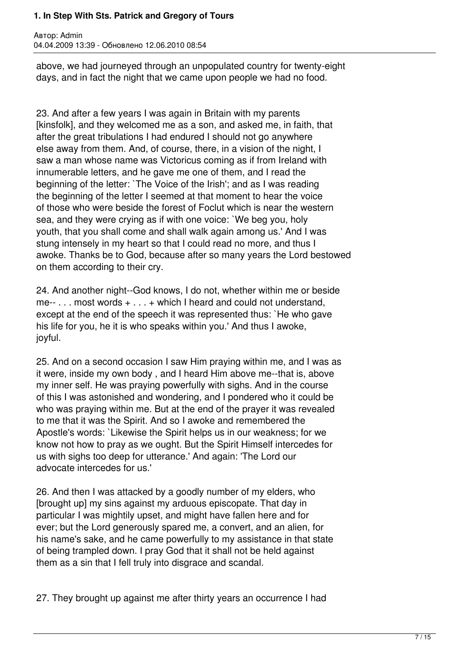Автор: Admin 04.04.2009 13:39 - Обновлено 12.06.2010 08:54

 above, we had journeyed through an unpopulated country for twenty-eight days, and in fact the night that we came upon people we had no food.

 23. And after a few years I was again in Britain with my parents [kinsfolk], and they welcomed me as a son, and asked me, in faith, that after the great tribulations I had endured I should not go anywhere else away from them. And, of course, there, in a vision of the night, I saw a man whose name was Victoricus coming as if from Ireland with innumerable letters, and he gave me one of them, and I read the beginning of the letter: `The Voice of the Irish'; and as I was reading the beginning of the letter I seemed at that moment to hear the voice of those who were beside the forest of Foclut which is near the western sea, and they were crying as if with one voice: `We beg you, holy youth, that you shall come and shall walk again among us.' And I was stung intensely in my heart so that I could read no more, and thus I awoke. Thanks be to God, because after so many years the Lord bestowed on them according to their cry.

 24. And another night--God knows, I do not, whether within me or beside me-- . . . most words + . . . + which I heard and could not understand, except at the end of the speech it was represented thus: `He who gave his life for you, he it is who speaks within you.' And thus I awoke, joyful.

 25. And on a second occasion I saw Him praying within me, and I was as it were, inside my own body , and I heard Him above me--that is, above my inner self. He was praying powerfully with sighs. And in the course of this I was astonished and wondering, and I pondered who it could be who was praying within me. But at the end of the prayer it was revealed to me that it was the Spirit. And so I awoke and remembered the Apostle's words: `Likewise the Spirit helps us in our weakness; for we know not how to pray as we ought. But the Spirit Himself intercedes for us with sighs too deep for utterance.' And again: 'The Lord our advocate intercedes for us.'

 26. And then I was attacked by a goodly number of my elders, who [brought up] my sins against my arduous episcopate. That day in particular I was mightily upset, and might have fallen here and for ever; but the Lord generously spared me, a convert, and an alien, for his name's sake, and he came powerfully to my assistance in that state of being trampled down. I pray God that it shall not be held against them as a sin that I fell truly into disgrace and scandal.

27. They brought up against me after thirty years an occurrence I had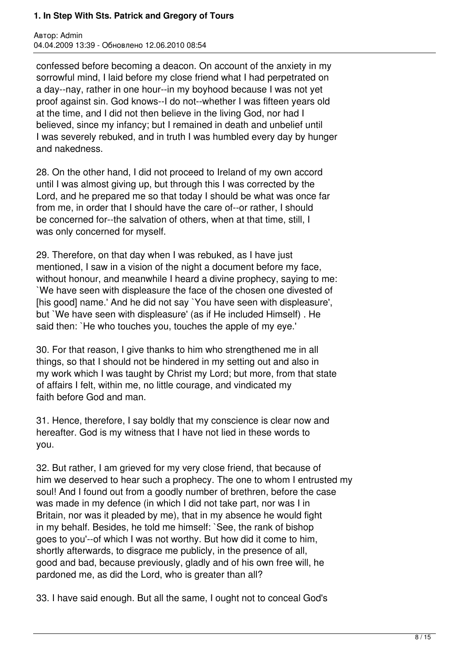Автор: Admin 04.04.2009 13:39 - Обновлено 12.06.2010 08:54

 confessed before becoming a deacon. On account of the anxiety in my sorrowful mind, I laid before my close friend what I had perpetrated on a day--nay, rather in one hour--in my boyhood because I was not yet proof against sin. God knows--I do not--whether I was fifteen years old at the time, and I did not then believe in the living God, nor had I believed, since my infancy; but I remained in death and unbelief until I was severely rebuked, and in truth I was humbled every day by hunger and nakedness.

 28. On the other hand, I did not proceed to Ireland of my own accord until I was almost giving up, but through this I was corrected by the Lord, and he prepared me so that today I should be what was once far from me, in order that I should have the care of--or rather, I should be concerned for--the salvation of others, when at that time, still, I was only concerned for myself.

 29. Therefore, on that day when I was rebuked, as I have just mentioned, I saw in a vision of the night a document before my face, without honour, and meanwhile I heard a divine prophecy, saying to me: `We have seen with displeasure the face of the chosen one divested of [his good] name.' And he did not say `You have seen with displeasure', but `We have seen with displeasure' (as if He included Himself) . He said then: `He who touches you, touches the apple of my eye.'

 30. For that reason, I give thanks to him who strengthened me in all things, so that I should not be hindered in my setting out and also in my work which I was taught by Christ my Lord; but more, from that state of affairs I felt, within me, no little courage, and vindicated my faith before God and man.

 31. Hence, therefore, I say boldly that my conscience is clear now and hereafter. God is my witness that I have not lied in these words to you.

 32. But rather, I am grieved for my very close friend, that because of him we deserved to hear such a prophecy. The one to whom I entrusted my soul! And I found out from a goodly number of brethren, before the case was made in my defence (in which I did not take part, nor was I in Britain, nor was it pleaded by me), that in my absence he would fight in my behalf. Besides, he told me himself: `See, the rank of bishop goes to you'--of which I was not worthy. But how did it come to him, shortly afterwards, to disgrace me publicly, in the presence of all, good and bad, because previously, gladly and of his own free will, he pardoned me, as did the Lord, who is greater than all?

33. I have said enough. But all the same, I ought not to conceal God's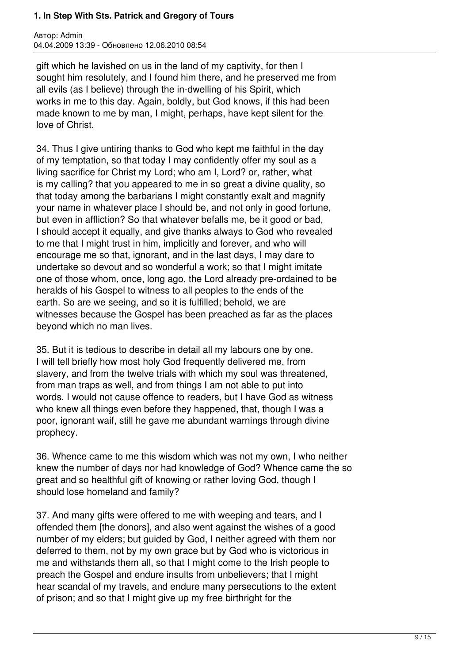Автор: Admin 04.04.2009 13:39 - Обновлено 12.06.2010 08:54

 gift which he lavished on us in the land of my captivity, for then I sought him resolutely, and I found him there, and he preserved me from all evils (as I believe) through the in-dwelling of his Spirit, which works in me to this day. Again, boldly, but God knows, if this had been made known to me by man, I might, perhaps, have kept silent for the love of Christ.

 34. Thus I give untiring thanks to God who kept me faithful in the day of my temptation, so that today I may confidently offer my soul as a living sacrifice for Christ my Lord; who am I, Lord? or, rather, what is my calling? that you appeared to me in so great a divine quality, so that today among the barbarians I might constantly exalt and magnify your name in whatever place I should be, and not only in good fortune, but even in affliction? So that whatever befalls me, be it good or bad, I should accept it equally, and give thanks always to God who revealed to me that I might trust in him, implicitly and forever, and who will encourage me so that, ignorant, and in the last days, I may dare to undertake so devout and so wonderful a work; so that I might imitate one of those whom, once, long ago, the Lord already pre-ordained to be heralds of his Gospel to witness to all peoples to the ends of the earth. So are we seeing, and so it is fulfilled; behold, we are witnesses because the Gospel has been preached as far as the places beyond which no man lives.

 35. But it is tedious to describe in detail all my labours one by one. I will tell briefly how most holy God frequently delivered me, from slavery, and from the twelve trials with which my soul was threatened, from man traps as well, and from things I am not able to put into words. I would not cause offence to readers, but I have God as witness who knew all things even before they happened, that, though I was a poor, ignorant waif, still he gave me abundant warnings through divine prophecy.

 36. Whence came to me this wisdom which was not my own, I who neither knew the number of days nor had knowledge of God? Whence came the so great and so healthful gift of knowing or rather loving God, though I should lose homeland and family?

 37. And many gifts were offered to me with weeping and tears, and I offended them [the donors], and also went against the wishes of a good number of my elders; but guided by God, I neither agreed with them nor deferred to them, not by my own grace but by God who is victorious in me and withstands them all, so that I might come to the Irish people to preach the Gospel and endure insults from unbelievers; that I might hear scandal of my travels, and endure many persecutions to the extent of prison; and so that I might give up my free birthright for the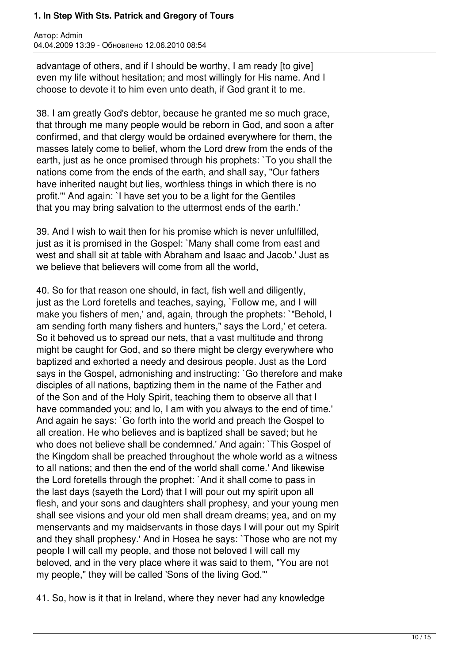Автор: Admin 04.04.2009 13:39 - Обновлено 12.06.2010 08:54

 advantage of others, and if I should be worthy, I am ready [to give] even my life without hesitation; and most willingly for His name. And I choose to devote it to him even unto death, if God grant it to me.

 38. I am greatly God's debtor, because he granted me so much grace, that through me many people would be reborn in God, and soon a after confirmed, and that clergy would be ordained everywhere for them, the masses lately come to belief, whom the Lord drew from the ends of the earth, just as he once promised through his prophets: `To you shall the nations come from the ends of the earth, and shall say, "Our fathers have inherited naught but lies, worthless things in which there is no profit."' And again: `I have set you to be a light for the Gentiles that you may bring salvation to the uttermost ends of the earth.'

 39. And I wish to wait then for his promise which is never unfulfilled, just as it is promised in the Gospel: `Many shall come from east and west and shall sit at table with Abraham and Isaac and Jacob.' Just as we believe that believers will come from all the world,

 40. So for that reason one should, in fact, fish well and diligently, just as the Lord foretells and teaches, saying, `Follow me, and I will make you fishers of men,' and, again, through the prophets: `"Behold, I am sending forth many fishers and hunters," says the Lord,' et cetera. So it behoved us to spread our nets, that a vast multitude and throng might be caught for God, and so there might be clergy everywhere who baptized and exhorted a needy and desirous people. Just as the Lord says in the Gospel, admonishing and instructing: `Go therefore and make disciples of all nations, baptizing them in the name of the Father and of the Son and of the Holy Spirit, teaching them to observe all that I have commanded you; and lo, I am with you always to the end of time.' And again he says: `Go forth into the world and preach the Gospel to all creation. He who believes and is baptized shall be saved; but he who does not believe shall be condemned.' And again: `This Gospel of the Kingdom shall be preached throughout the whole world as a witness to all nations; and then the end of the world shall come.' And likewise the Lord foretells through the prophet: `And it shall come to pass in the last days (sayeth the Lord) that I will pour out my spirit upon all flesh, and your sons and daughters shall prophesy, and your young men shall see visions and your old men shall dream dreams; yea, and on my menservants and my maidservants in those days I will pour out my Spirit and they shall prophesy.' And in Hosea he says: `Those who are not my people I will call my people, and those not beloved I will call my beloved, and in the very place where it was said to them, "You are not my people," they will be called 'Sons of the living God."'

41. So, how is it that in Ireland, where they never had any knowledge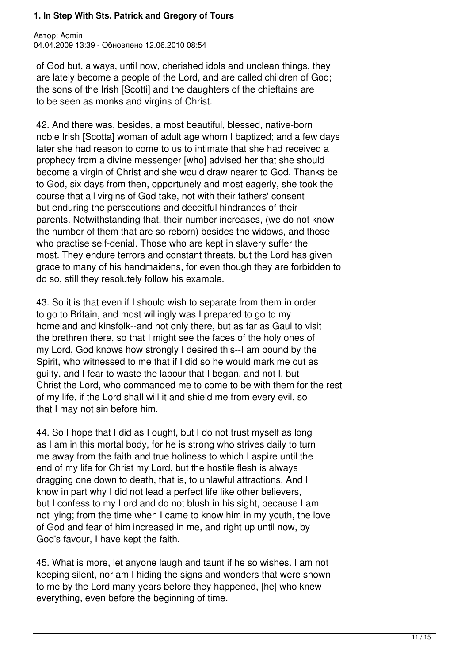Автор: Admin 04.04.2009 13:39 - Обновлено 12.06.2010 08:54

 of God but, always, until now, cherished idols and unclean things, they are lately become a people of the Lord, and are called children of God; the sons of the Irish [Scotti] and the daughters of the chieftains are to be seen as monks and virgins of Christ.

 42. And there was, besides, a most beautiful, blessed, native-born noble Irish [Scotta] woman of adult age whom I baptized; and a few days later she had reason to come to us to intimate that she had received a prophecy from a divine messenger [who] advised her that she should become a virgin of Christ and she would draw nearer to God. Thanks be to God, six days from then, opportunely and most eagerly, she took the course that all virgins of God take, not with their fathers' consent but enduring the persecutions and deceitful hindrances of their parents. Notwithstanding that, their number increases, (we do not know the number of them that are so reborn) besides the widows, and those who practise self-denial. Those who are kept in slavery suffer the most. They endure terrors and constant threats, but the Lord has given grace to many of his handmaidens, for even though they are forbidden to do so, still they resolutely follow his example.

 43. So it is that even if I should wish to separate from them in order to go to Britain, and most willingly was I prepared to go to my homeland and kinsfolk--and not only there, but as far as Gaul to visit the brethren there, so that I might see the faces of the holy ones of my Lord, God knows how strongly I desired this--I am bound by the Spirit, who witnessed to me that if I did so he would mark me out as guilty, and I fear to waste the labour that I began, and not I, but Christ the Lord, who commanded me to come to be with them for the rest of my life, if the Lord shall will it and shield me from every evil, so that I may not sin before him.

 44. So I hope that I did as I ought, but I do not trust myself as long as I am in this mortal body, for he is strong who strives daily to turn me away from the faith and true holiness to which I aspire until the end of my life for Christ my Lord, but the hostile flesh is always dragging one down to death, that is, to unlawful attractions. And I know in part why I did not lead a perfect life like other believers, but I confess to my Lord and do not blush in his sight, because I am not lying; from the time when I came to know him in my youth, the love of God and fear of him increased in me, and right up until now, by God's favour, I have kept the faith.

 45. What is more, let anyone laugh and taunt if he so wishes. I am not keeping silent, nor am I hiding the signs and wonders that were shown to me by the Lord many years before they happened, [he] who knew everything, even before the beginning of time.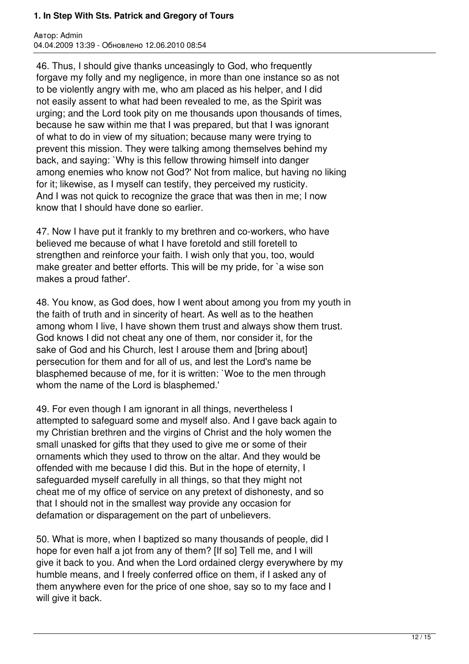Автор: Admin 04.04.2009 13:39 - Обновлено 12.06.2010 08:54

 46. Thus, I should give thanks unceasingly to God, who frequently forgave my folly and my negligence, in more than one instance so as not to be violently angry with me, who am placed as his helper, and I did not easily assent to what had been revealed to me, as the Spirit was urging; and the Lord took pity on me thousands upon thousands of times, because he saw within me that I was prepared, but that I was ignorant of what to do in view of my situation; because many were trying to prevent this mission. They were talking among themselves behind my back, and saying: `Why is this fellow throwing himself into danger among enemies who know not God?' Not from malice, but having no liking for it; likewise, as I myself can testify, they perceived my rusticity. And I was not quick to recognize the grace that was then in me; I now know that I should have done so earlier.

 47. Now I have put it frankly to my brethren and co-workers, who have believed me because of what I have foretold and still foretell to strengthen and reinforce your faith. I wish only that you, too, would make greater and better efforts. This will be my pride, for `a wise son makes a proud father'.

 48. You know, as God does, how I went about among you from my youth in the faith of truth and in sincerity of heart. As well as to the heathen among whom I live, I have shown them trust and always show them trust. God knows I did not cheat any one of them, nor consider it, for the sake of God and his Church, lest I arouse them and [bring about] persecution for them and for all of us, and lest the Lord's name be blasphemed because of me, for it is written: `Woe to the men through whom the name of the Lord is blasphemed.'

 49. For even though I am ignorant in all things, nevertheless I attempted to safeguard some and myself also. And I gave back again to my Christian brethren and the virgins of Christ and the holy women the small unasked for gifts that they used to give me or some of their ornaments which they used to throw on the altar. And they would be offended with me because I did this. But in the hope of eternity, I safeguarded myself carefully in all things, so that they might not cheat me of my office of service on any pretext of dishonesty, and so that I should not in the smallest way provide any occasion for defamation or disparagement on the part of unbelievers.

 50. What is more, when I baptized so many thousands of people, did I hope for even half a jot from any of them? Ilf sol Tell me, and I will give it back to you. And when the Lord ordained clergy everywhere by my humble means, and I freely conferred office on them, if I asked any of them anywhere even for the price of one shoe, say so to my face and I will give it back.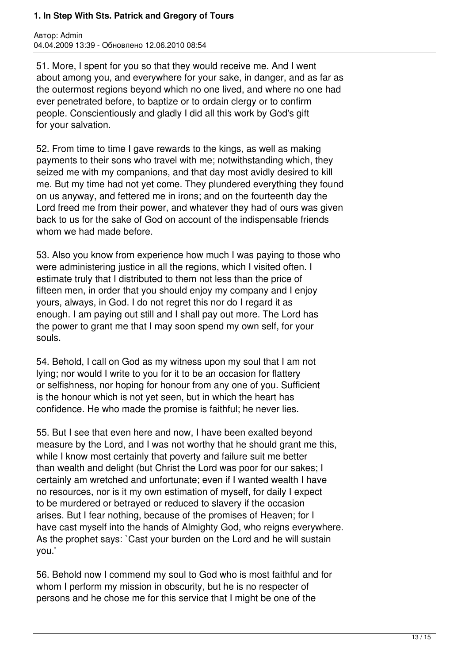Автор: Admin 04.04.2009 13:39 - Обновлено 12.06.2010 08:54

 51. More, I spent for you so that they would receive me. And I went about among you, and everywhere for your sake, in danger, and as far as the outermost regions beyond which no one lived, and where no one had ever penetrated before, to baptize or to ordain clergy or to confirm people. Conscientiously and gladly I did all this work by God's gift for your salvation.

 52. From time to time I gave rewards to the kings, as well as making payments to their sons who travel with me; notwithstanding which, they seized me with my companions, and that day most avidly desired to kill me. But my time had not yet come. They plundered everything they found on us anyway, and fettered me in irons; and on the fourteenth day the Lord freed me from their power, and whatever they had of ours was given back to us for the sake of God on account of the indispensable friends whom we had made before.

 53. Also you know from experience how much I was paying to those who were administering justice in all the regions, which I visited often. I estimate truly that I distributed to them not less than the price of fifteen men, in order that you should enjoy my company and I enjoy yours, always, in God. I do not regret this nor do I regard it as enough. I am paying out still and I shall pay out more. The Lord has the power to grant me that I may soon spend my own self, for your souls.

 54. Behold, I call on God as my witness upon my soul that I am not lying; nor would I write to you for it to be an occasion for flattery or selfishness, nor hoping for honour from any one of you. Sufficient is the honour which is not yet seen, but in which the heart has confidence. He who made the promise is faithful; he never lies.

 55. But I see that even here and now, I have been exalted beyond measure by the Lord, and I was not worthy that he should grant me this, while I know most certainly that poverty and failure suit me better than wealth and delight (but Christ the Lord was poor for our sakes; I certainly am wretched and unfortunate; even if I wanted wealth I have no resources, nor is it my own estimation of myself, for daily I expect to be murdered or betrayed or reduced to slavery if the occasion arises. But I fear nothing, because of the promises of Heaven; for I have cast myself into the hands of Almighty God, who reigns everywhere. As the prophet says: `Cast your burden on the Lord and he will sustain you.'

 56. Behold now I commend my soul to God who is most faithful and for whom I perform my mission in obscurity, but he is no respecter of persons and he chose me for this service that I might be one of the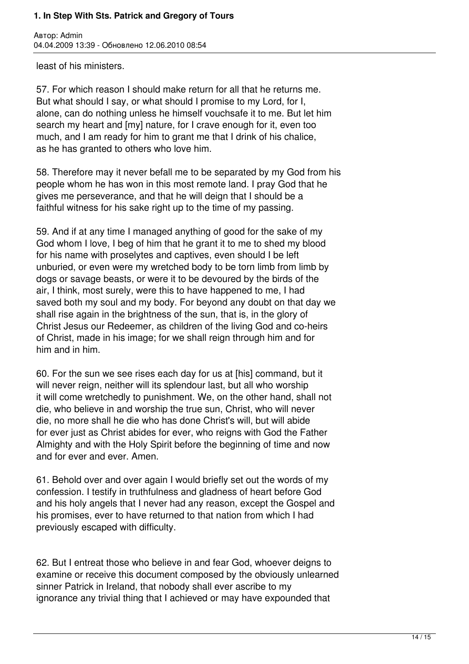Автор: Admin 04.04.2009 13:39 - Обновлено 12.06.2010 08:54

least of his ministers.

 57. For which reason I should make return for all that he returns me. But what should I say, or what should I promise to my Lord, for I. alone, can do nothing unless he himself vouchsafe it to me. But let him search my heart and [my] nature, for I crave enough for it, even too much, and I am ready for him to grant me that I drink of his chalice, as he has granted to others who love him.

 58. Therefore may it never befall me to be separated by my God from his people whom he has won in this most remote land. I pray God that he gives me perseverance, and that he will deign that I should be a faithful witness for his sake right up to the time of my passing.

 59. And if at any time I managed anything of good for the sake of my God whom I love, I beg of him that he grant it to me to shed my blood for his name with proselytes and captives, even should I be left unburied, or even were my wretched body to be torn limb from limb by dogs or savage beasts, or were it to be devoured by the birds of the air, I think, most surely, were this to have happened to me, I had saved both my soul and my body. For beyond any doubt on that day we shall rise again in the brightness of the sun, that is, in the glory of Christ Jesus our Redeemer, as children of the living God and co-heirs of Christ, made in his image; for we shall reign through him and for him and in him.

 60. For the sun we see rises each day for us at [his] command, but it will never reign, neither will its splendour last, but all who worship it will come wretchedly to punishment. We, on the other hand, shall not die, who believe in and worship the true sun, Christ, who will never die, no more shall he die who has done Christ's will, but will abide for ever just as Christ abides for ever, who reigns with God the Father Almighty and with the Holy Spirit before the beginning of time and now and for ever and ever. Amen.

 61. Behold over and over again I would briefly set out the words of my confession. I testify in truthfulness and gladness of heart before God and his holy angels that I never had any reason, except the Gospel and his promises, ever to have returned to that nation from which I had previously escaped with difficulty.

 62. But I entreat those who believe in and fear God, whoever deigns to examine or receive this document composed by the obviously unlearned sinner Patrick in Ireland, that nobody shall ever ascribe to my ignorance any trivial thing that I achieved or may have expounded that